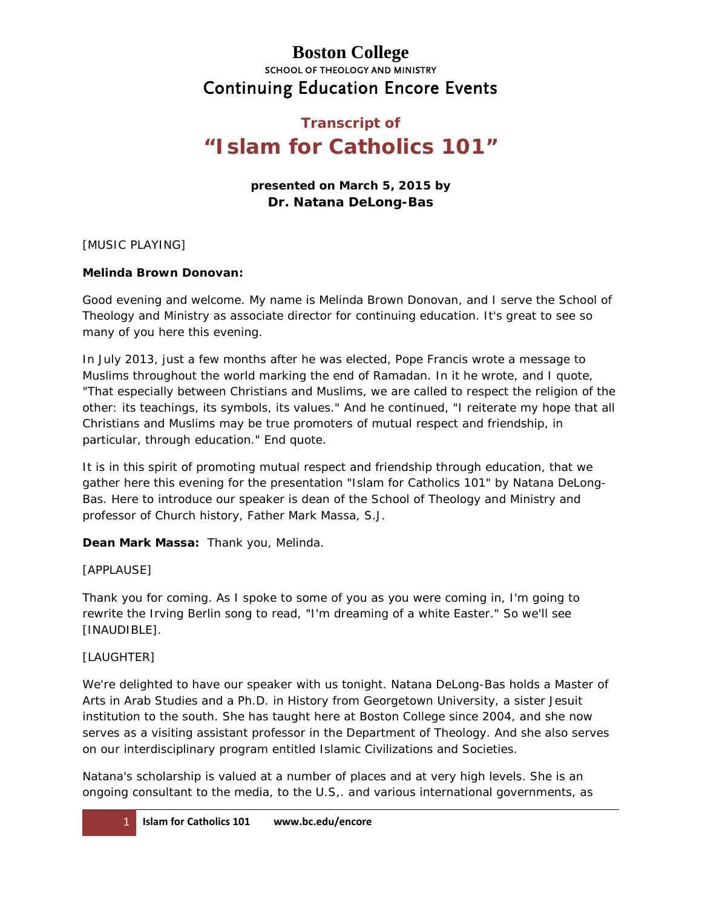#### **Boston College** SCHOOL OF THEOLOGY AND MINISTRY Continuing Education Encore Events

# **Transcript of "Islam for Catholics 101"**

#### **presented on March 5, 2015 by Dr. Natana DeLong-Bas**

[MUSIC PLAYING]

#### **Melinda Brown Donovan:**

Good evening and welcome. My name is Melinda Brown Donovan, and I serve the School of Theology and Ministry as associate director for continuing education. It's great to see so many of you here this evening.

In July 2013, just a few months after he was elected, Pope Francis wrote a message to Muslims throughout the world marking the end of Ramadan. In it he wrote, and I quote, "That especially between Christians and Muslims, we are called to respect the religion of the other: its teachings, its symbols, its values." And he continued, "I reiterate my hope that all Christians and Muslims may be true promoters of mutual respect and friendship, in particular, through education." End quote.

It is in this spirit of promoting mutual respect and friendship through education, that we gather here this evening for the presentation "Islam for Catholics 101" by Natana DeLong-Bas. Here to introduce our speaker is dean of the School of Theology and Ministry and professor of Church history, Father Mark Massa, S.J.

**Dean Mark Massa:** Thank you, Melinda.

#### [APPLAUSE]

Thank you for coming. As I spoke to some of you as you were coming in, I'm going to rewrite the Irving Berlin song to read, "I'm dreaming of a white Easter." So we'll see [INAUDIBLE].

#### [LAUGHTER]

We're delighted to have our speaker with us tonight. Natana DeLong-Bas holds a Master of Arts in Arab Studies and a Ph.D. in History from Georgetown University, a sister Jesuit institution to the south. She has taught here at Boston College since 2004, and she now serves as a visiting assistant professor in the Department of Theology. And she also serves on our interdisciplinary program entitled Islamic Civilizations and Societies.

Natana's scholarship is valued at a number of places and at very high levels. She is an ongoing consultant to the media, to the U.S,. and various international governments, as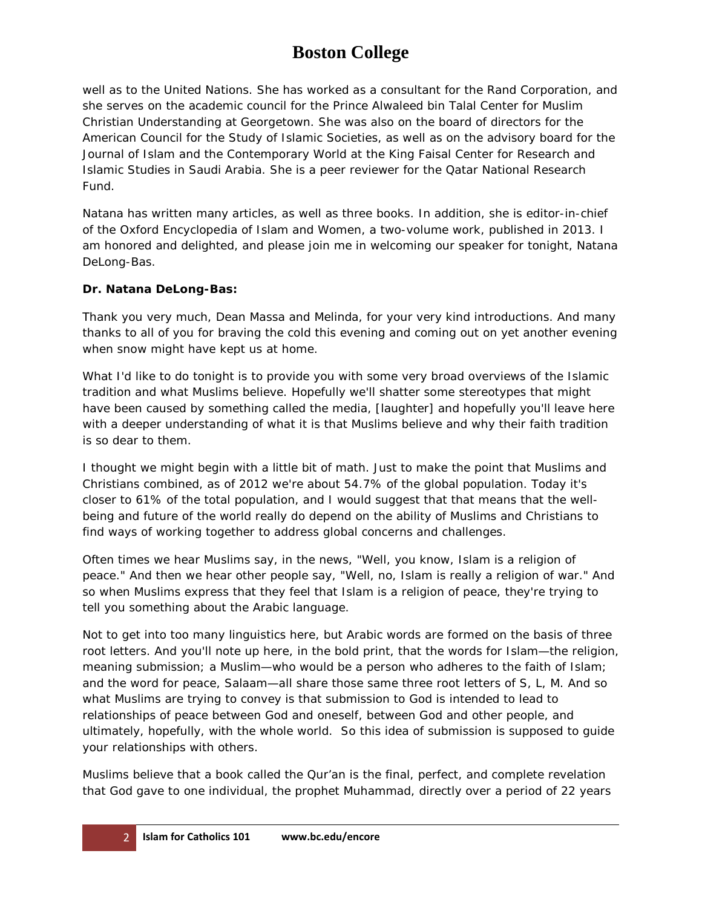well as to the United Nations. She has worked as a consultant for the Rand Corporation, and she serves on the academic council for the Prince Alwaleed bin Talal Center for Muslim Christian Understanding at Georgetown. She was also on the board of directors for the American Council for the Study of Islamic Societies, as well as on the advisory board for the *Journal of Islam and the Contemporary World* at the King Faisal Center for Research and Islamic Studies in Saudi Arabia. She is a peer reviewer for the Qatar National Research Fund.

Natana has written many articles, as well as three books. In addition, she is editor-in-chief of the *Oxford Encyclopedia of Islam and Wome*n, a two-volume work, published in 2013. I am honored and delighted, and please join me in welcoming our speaker for tonight, Natana DeLong-Bas.

#### **Dr. Natana DeLong-Bas:**

Thank you very much, Dean Massa and Melinda, for your very kind introductions. And many thanks to all of you for braving the cold this evening and coming out on yet another evening when snow might have kept us at home.

What I'd like to do tonight is to provide you with some very broad overviews of the Islamic tradition and what Muslims believe. Hopefully we'll shatter some stereotypes that might have been caused by something called the media, [laughter] and hopefully you'll leave here with a deeper understanding of what it is that Muslims believe and why their faith tradition is so dear to them.

I thought we might begin with a little bit of math. Just to make the point that Muslims and Christians combined, as of 2012 we're about 54.7% of the global population. Today it's closer to 61% of the total population, and I would suggest that that means that the wellbeing and future of the world really do depend on the ability of Muslims and Christians to find ways of working together to address global concerns and challenges.

Often times we hear Muslims say, in the news, "Well, you know, Islam is a religion of peace." And then we hear other people say, "Well, no, Islam is really a religion of war." And so when Muslims express that they feel that Islam is a religion of peace, they're trying to tell you something about the Arabic language.

Not to get into too many linguistics here, but Arabic words are formed on the basis of three root letters. And you'll note up here, in the bold print, that the words for Islam—the religion, meaning submission; a Muslim—who would be a person who adheres to the faith of Islam; and the word for peace, *Salaam*—all share those same three root letters of S, L, M. And so what Muslims are trying to convey is that submission to God is intended to lead to relationships of peace between God and oneself, between God and other people, and ultimately, hopefully, with the whole world. So this idea of submission is supposed to guide your relationships with others.

Muslims believe that a book called the Qur'an is the final, perfect, and complete revelation that God gave to one individual, the prophet Muhammad, directly over a period of 22 years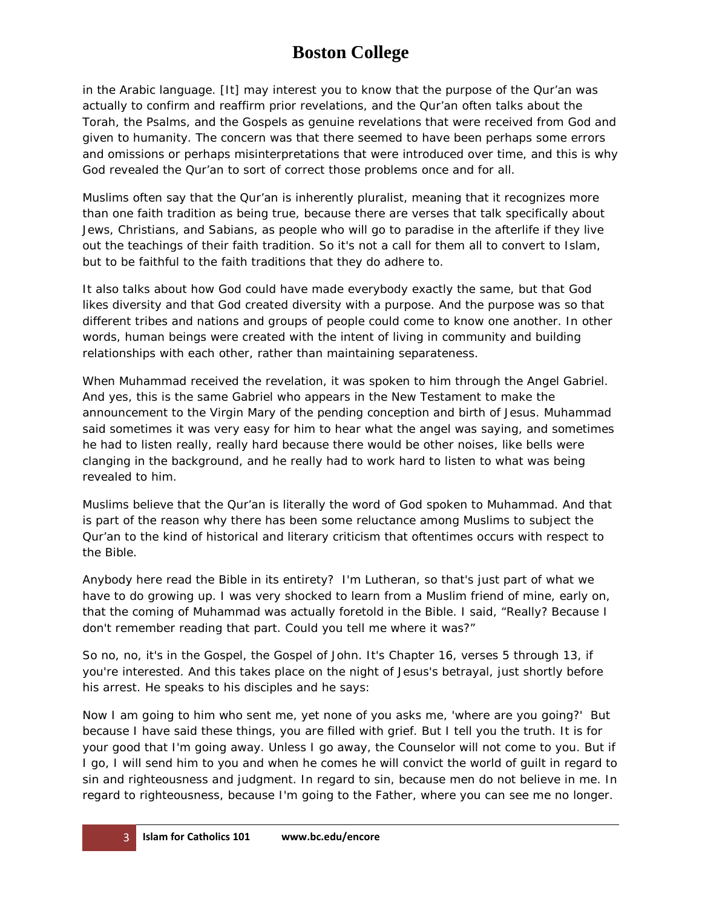in the Arabic language. [It] may interest you to know that the purpose of the Qur'an was actually to confirm and reaffirm prior revelations, and the Qur'an often talks about the Torah, the Psalms, and the Gospels as genuine revelations that were received from God and given to humanity. The concern was that there seemed to have been perhaps some errors and omissions or perhaps misinterpretations that were introduced over time, and this is why God revealed the Qur'an to sort of correct those problems once and for all.

Muslims often say that the Qur'an is inherently pluralist, meaning that it recognizes more than one faith tradition as being true, because there are verses that talk specifically about Jews, Christians, and Sabians, as people who will go to paradise in the afterlife if they live out the teachings of their faith tradition. So it's not a call for them all to convert to Islam, but to be faithful to the faith traditions that they do adhere to.

It also talks about how God could have made everybody exactly the same, but that God likes diversity and that God created diversity with a purpose. And the purpose was so that different tribes and nations and groups of people could come to know one another. In other words, human beings were created with the intent of living in community and building relationships with each other, rather than maintaining separateness.

When Muhammad received the revelation, it was spoken to him through the Angel Gabriel. And yes, this is the same Gabriel who appears in the New Testament to make the announcement to the Virgin Mary of the pending conception and birth of Jesus. Muhammad said sometimes it was very easy for him to hear what the angel was saying, and sometimes he had to listen really, really hard because there would be other noises, like bells were clanging in the background, and he really had to work hard to listen to what was being revealed to him.

Muslims believe that the Qur'an is literally the word of God spoken to Muhammad. And that is part of the reason why there has been some reluctance among Muslims to subject the Qur'an to the kind of historical and literary criticism that oftentimes occurs with respect to the Bible.

Anybody here read the Bible in its entirety? I'm Lutheran, so that's just part of what we have to do growing up. I was very shocked to learn from a Muslim friend of mine, early on, that the coming of Muhammad was actually foretold in the Bible. I said, "Really? Because I don't remember reading that part. Could you tell me where it was?"

So no, no, it's in the Gospel, the Gospel of John. It's Chapter 16, verses 5 through 13, if you're interested. And this takes place on the night of Jesus's betrayal, just shortly before his arrest. He speaks to his disciples and he says:

Now I am going to him who sent me, yet none of you asks me, 'where are you going?' But because I have said these things, you are filled with grief. But I tell you the truth. It is for your good that I'm going away. Unless I go away, the Counselor will not come to you. But if I go, I will send him to you and when he comes he will convict the world of guilt in regard to sin and righteousness and judgment. In regard to sin, because men do not believe in me. In regard to righteousness, because I'm going to the Father, where you can see me no longer.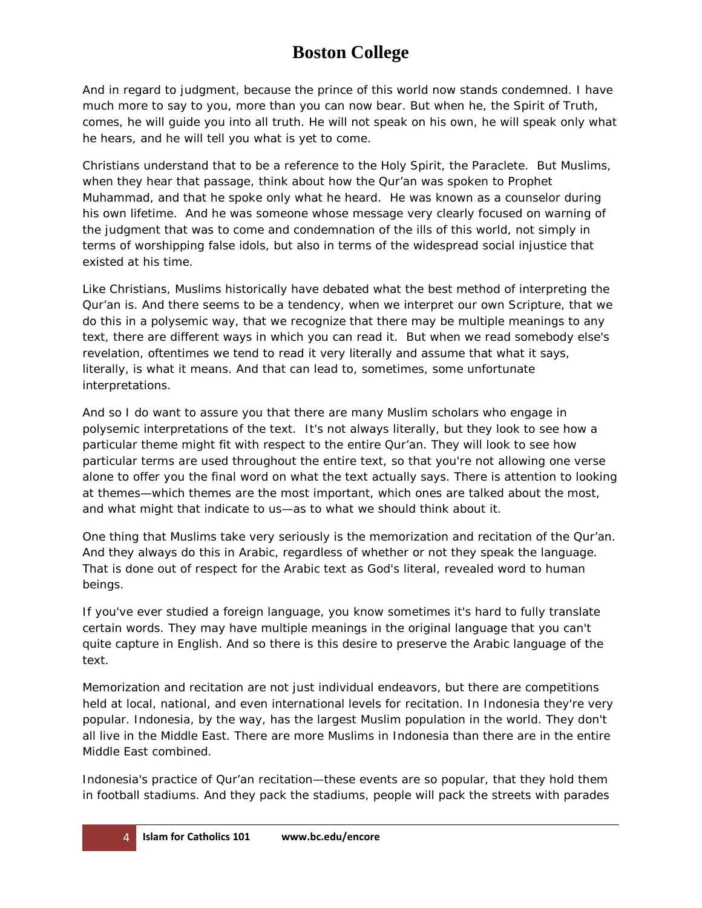And in regard to judgment, because the prince of this world now stands condemned. I have much more to say to you, more than you can now bear. But when he, the Spirit of Truth, comes, he will guide you into all truth. He will not speak on his own, he will speak only what he hears, and he will tell you what is yet to come.

Christians understand that to be a reference to the Holy Spirit, the Paraclete. But Muslims, when they hear that passage, think about how the Qur'an was spoken to Prophet Muhammad, and that he spoke only what he heard. He was known as a counselor during his own lifetime. And he was someone whose message very clearly focused on warning of the judgment that was to come and condemnation of the ills of this world, not simply in terms of worshipping false idols, but also in terms of the widespread social injustice that existed at his time.

Like Christians, Muslims historically have debated what the best method of interpreting the Qur'an is. And there seems to be a tendency, when we interpret our own Scripture, that we do this in a polysemic way, that we recognize that there may be multiple meanings to any text, there are different ways in which you can read it. But when we read somebody else's revelation, oftentimes we tend to read it very literally and assume that what it says, literally, is what it means. And that can lead to, sometimes, some unfortunate interpretations.

And so I do want to assure you that there are many Muslim scholars who engage in polysemic interpretations of the text. It's not always literally, but they look to see how a particular theme might fit with respect to the entire Qur'an. They will look to see how particular terms are used throughout the entire text, so that you're not allowing one verse alone to offer you the final word on what the text actually says. There is attention to looking at themes—which themes are the most important, which ones are talked about the most, and what might that indicate to us—as to what we should think about it.

One thing that Muslims take very seriously is the memorization and recitation of the Qur'an. And they always do this in Arabic, regardless of whether or not they speak the language. That is done out of respect for the Arabic text as God's literal, revealed word to human beings.

If you've ever studied a foreign language, you know sometimes it's hard to fully translate certain words. They may have multiple meanings in the original language that you can't quite capture in English. And so there is this desire to preserve the Arabic language of the text.

Memorization and recitation are not just individual endeavors, but there are competitions held at local, national, and even international levels for recitation. In Indonesia they're very popular. Indonesia, by the way, has the largest Muslim population in the world. They don't all live in the Middle East. There are more Muslims in Indonesia than there are in the entire Middle East combined.

Indonesia's practice of Qur'an recitation—these events are so popular, that they hold them in football stadiums. And they pack the stadiums, people will pack the streets with parades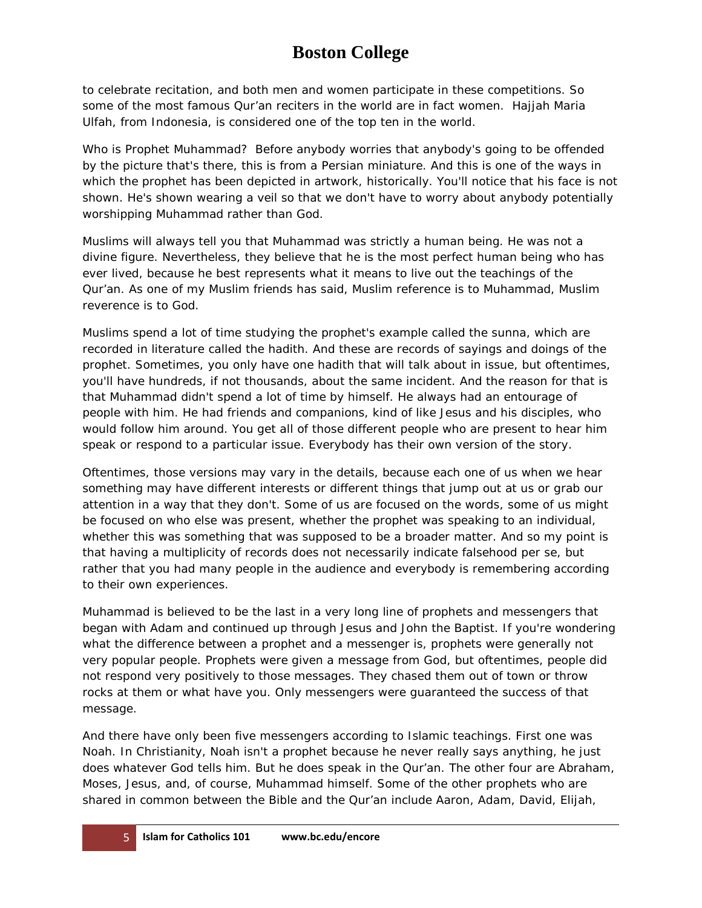to celebrate recitation, and both men and women participate in these competitions. So some of the most famous Qur'an reciters in the world are in fact women. Hajjah Maria Ulfah, from Indonesia, is considered one of the top ten in the world.

Who is Prophet Muhammad? Before anybody worries that anybody's going to be offended by the picture that's there, this is from a Persian miniature. And this is one of the ways in which the prophet has been depicted in artwork, historically. You'll notice that his face is not shown. He's shown wearing a veil so that we don't have to worry about anybody potentially worshipping Muhammad rather than God.

Muslims will always tell you that Muhammad was strictly a human being. He was not a divine figure. Nevertheless, they believe that he is the most perfect human being who has ever lived, because he best represents what it means to live out the teachings of the Qur'an. As one of my Muslim friends has said, Muslim reference is to Muhammad, Muslim reverence is to God.

Muslims spend a lot of time studying the prophet's example called the *sunna*, which are recorded in literature called the *hadith*. And these are records of sayings and doings of the prophet. Sometimes, you only have one hadith that will talk about in issue, but oftentimes, you'll have hundreds, if not thousands, about the same incident. And the reason for that is that Muhammad didn't spend a lot of time by himself. He always had an entourage of people with him. He had friends and companions, kind of like Jesus and his disciples, who would follow him around. You get all of those different people who are present to hear him speak or respond to a particular issue. Everybody has their own version of the story.

Oftentimes, those versions may vary in the details, because each one of us when we hear something may have different interests or different things that jump out at us or grab our attention in a way that they don't. Some of us are focused on the words, some of us might be focused on who else was present, whether the prophet was speaking to an individual, whether this was something that was supposed to be a broader matter. And so my point is that having a multiplicity of records does not necessarily indicate falsehood per se, but rather that you had many people in the audience and everybody is remembering according to their own experiences.

Muhammad is believed to be the last in a very long line of prophets and messengers that began with Adam and continued up through Jesus and John the Baptist. If you're wondering what the difference between a prophet and a messenger is, prophets were generally not very popular people. Prophets were given a message from God, but oftentimes, people did not respond very positively to those messages. They chased them out of town or throw rocks at them or what have you. Only messengers were guaranteed the success of that message.

And there have only been five messengers according to Islamic teachings. First one was Noah. In Christianity, Noah isn't a prophet because he never really says anything, he just does whatever God tells him. But he does speak in the Qur'an. The other four are Abraham, Moses, Jesus, and, of course, Muhammad himself. Some of the other prophets who are shared in common between the Bible and the Qur'an include Aaron, Adam, David, Elijah,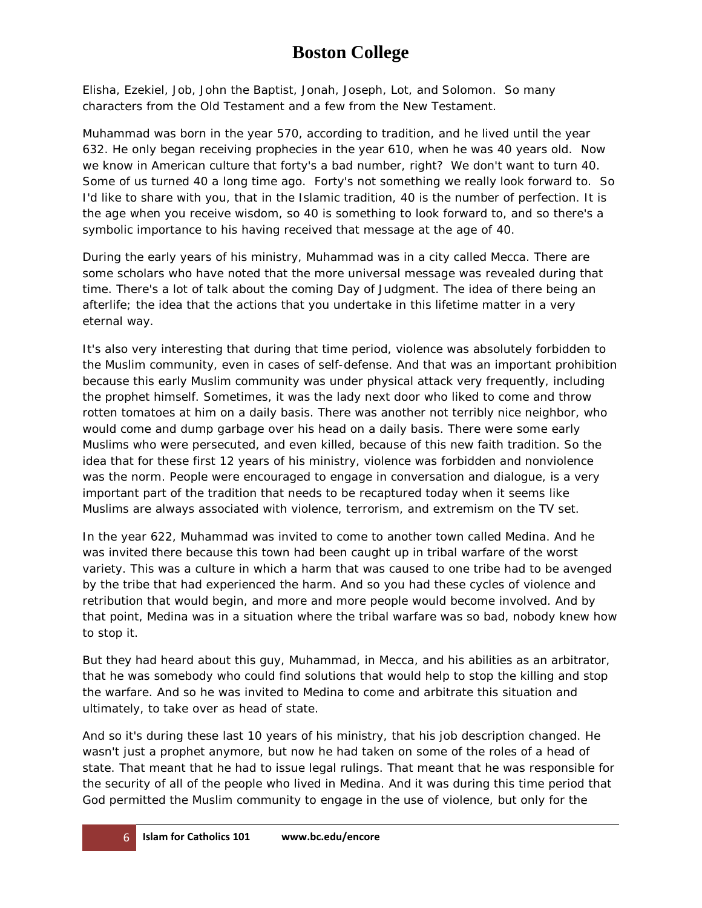Elisha, Ezekiel, Job, John the Baptist, Jonah, Joseph, Lot, and Solomon. So many characters from the Old Testament and a few from the New Testament.

Muhammad was born in the year 570, according to tradition, and he lived until the year 632. He only began receiving prophecies in the year 610, when he was 40 years old. Now we know in American culture that forty's a bad number, right? We don't want to turn 40. Some of us turned 40 a long time ago. Forty's not something we really look forward to. So I'd like to share with you, that in the Islamic tradition, 40 is the number of perfection. It is the age when you receive wisdom, so 40 is something to look forward to, and so there's a symbolic importance to his having received that message at the age of 40.

During the early years of his ministry, Muhammad was in a city called Mecca. There are some scholars who have noted that the more universal message was revealed during that time. There's a lot of talk about the coming Day of Judgment. The idea of there being an afterlife; the idea that the actions that you undertake in this lifetime matter in a very eternal way.

It's also very interesting that during that time period, violence was absolutely forbidden to the Muslim community, even in cases of self-defense. And that was an important prohibition because this early Muslim community was under physical attack very frequently, including the prophet himself. Sometimes, it was the lady next door who liked to come and throw rotten tomatoes at him on a daily basis. There was another not terribly nice neighbor, who would come and dump garbage over his head on a daily basis. There were some early Muslims who were persecuted, and even killed, because of this new faith tradition. So the idea that for these first 12 years of his ministry, violence was forbidden and nonviolence was the norm. People were encouraged to engage in conversation and dialogue, is a very important part of the tradition that needs to be recaptured today when it seems like Muslims are always associated with violence, terrorism, and extremism on the TV set.

In the year 622, Muhammad was invited to come to another town called Medina. And he was invited there because this town had been caught up in tribal warfare of the worst variety. This was a culture in which a harm that was caused to one tribe had to be avenged by the tribe that had experienced the harm. And so you had these cycles of violence and retribution that would begin, and more and more people would become involved. And by that point, Medina was in a situation where the tribal warfare was so bad, nobody knew how to stop it.

But they had heard about this guy, Muhammad, in Mecca, and his abilities as an arbitrator, that he was somebody who could find solutions that would help to stop the killing and stop the warfare. And so he was invited to Medina to come and arbitrate this situation and ultimately, to take over as head of state.

And so it's during these last 10 years of his ministry, that his job description changed. He wasn't just a prophet anymore, but now he had taken on some of the roles of a head of state. That meant that he had to issue legal rulings. That meant that he was responsible for the security of all of the people who lived in Medina. And it was during this time period that God permitted the Muslim community to engage in the use of violence, but only for the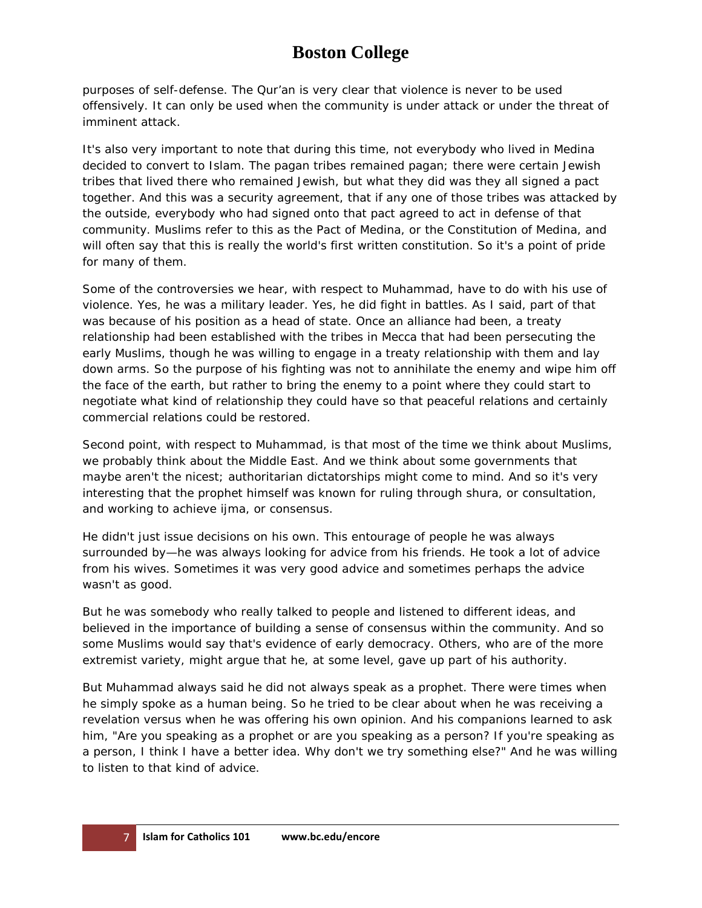purposes of self-defense. The Qur'an is very clear that violence is never to be used offensively. It can only be used when the community is under attack or under the threat of imminent attack.

It's also very important to note that during this time, not everybody who lived in Medina decided to convert to Islam. The pagan tribes remained pagan; there were certain Jewish tribes that lived there who remained Jewish, but what they did was they all signed a pact together. And this was a security agreement, that if any one of those tribes was attacked by the outside, everybody who had signed onto that pact agreed to act in defense of that community. Muslims refer to this as the Pact of Medina, or the Constitution of Medina, and will often say that this is really the world's first written constitution. So it's a point of pride for many of them.

Some of the controversies we hear, with respect to Muhammad, have to do with his use of violence. Yes, he was a military leader. Yes, he did fight in battles. As I said, part of that was because of his position as a head of state. Once an alliance had been, a treaty relationship had been established with the tribes in Mecca that had been persecuting the early Muslims, though he was willing to engage in a treaty relationship with them and lay down arms. So the purpose of his fighting was not to annihilate the enemy and wipe him off the face of the earth, but rather to bring the enemy to a point where they could start to negotiate what kind of relationship they could have so that peaceful relations and certainly commercial relations could be restored.

Second point, with respect to Muhammad, is that most of the time we think about Muslims, we probably think about the Middle East. And we think about some governments that maybe aren't the nicest; authoritarian dictatorships might come to mind. And so it's very interesting that the prophet himself was known for ruling through *shura*, or consultation, and working to achieve *ijma*, or consensus.

He didn't just issue decisions on his own. This entourage of people he was always surrounded by—he was always looking for advice from his friends. He took a lot of advice from his wives. Sometimes it was very good advice and sometimes perhaps the advice wasn't as good.

But he was somebody who really talked to people and listened to different ideas, and believed in the importance of building a sense of consensus within the community. And so some Muslims would say that's evidence of early democracy. Others, who are of the more extremist variety, might argue that he, at some level, gave up part of his authority.

But Muhammad always said he did not always speak as a prophet. There were times when he simply spoke as a human being. So he tried to be clear about when he was receiving a revelation versus when he was offering his own opinion. And his companions learned to ask him, "Are you speaking as a prophet or are you speaking as a person? If you're speaking as a person, I think I have a better idea. Why don't we try something else?" And he was willing to listen to that kind of advice.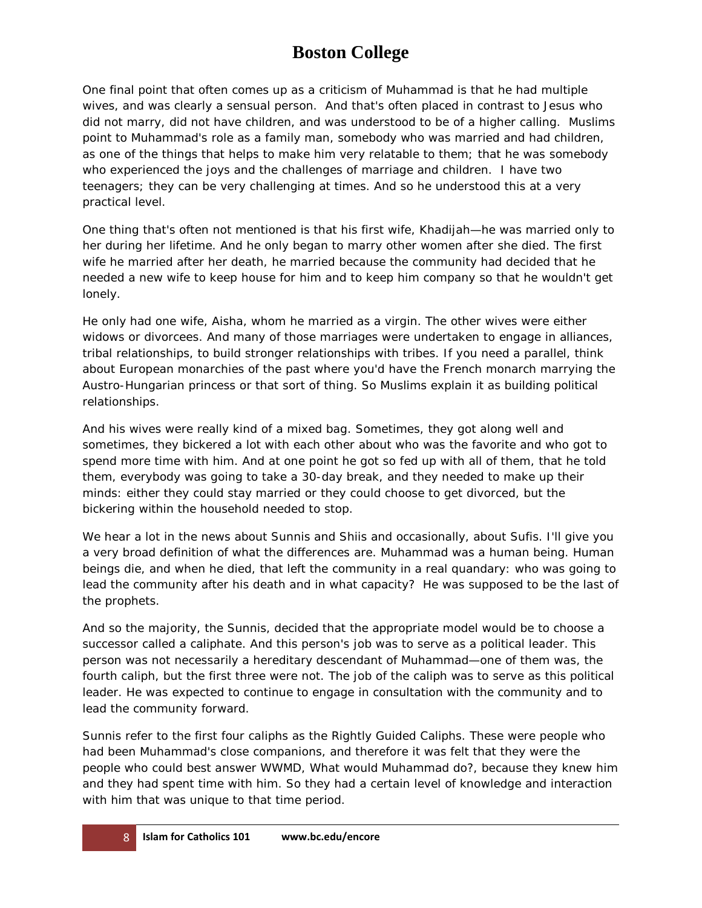One final point that often comes up as a criticism of Muhammad is that he had multiple wives, and was clearly a sensual person. And that's often placed in contrast to Jesus who did not marry, did not have children, and was understood to be of a higher calling. Muslims point to Muhammad's role as a family man, somebody who was married and had children, as one of the things that helps to make him very relatable to them; that he was somebody who experienced the joys and the challenges of marriage and children. I have two teenagers; they can be very challenging at times. And so he understood this at a very practical level.

One thing that's often not mentioned is that his first wife, Khadijah—he was married only to her during her lifetime. And he only began to marry other women after she died. The first wife he married after her death, he married because the community had decided that he needed a new wife to keep house for him and to keep him company so that he wouldn't get lonely.

He only had one wife, Aisha, whom he married as a virgin. The other wives were either widows or divorcees. And many of those marriages were undertaken to engage in alliances, tribal relationships, to build stronger relationships with tribes. If you need a parallel, think about European monarchies of the past where you'd have the French monarch marrying the Austro-Hungarian princess or that sort of thing. So Muslims explain it as building political relationships.

And his wives were really kind of a mixed bag. Sometimes, they got along well and sometimes, they bickered a lot with each other about who was the favorite and who got to spend more time with him. And at one point he got so fed up with all of them, that he told them, everybody was going to take a 30-day break, and they needed to make up their minds: either they could stay married or they could choose to get divorced, but the bickering within the household needed to stop.

We hear a lot in the news about Sunnis and Shiis and occasionally, about Sufis. I'll give you a very broad definition of what the differences are. Muhammad was a human being. Human beings die, and when he died, that left the community in a real quandary: who was going to lead the community after his death and in what capacity? He was supposed to be the last of the prophets.

And so the majority, the Sunnis, decided that the appropriate model would be to choose a successor called a caliphate. And this person's job was to serve as a political leader. This person was not necessarily a hereditary descendant of Muhammad—one of them was, the fourth caliph, but the first three were not. The job of the caliph was to serve as this political leader. He was expected to continue to engage in consultation with the community and to lead the community forward.

Sunnis refer to the first four caliphs as the Rightly Guided Caliphs. These were people who had been Muhammad's close companions, and therefore it was felt that they were the people who could best answer WWMD, *What would Muhammad do?*, because they knew him and they had spent time with him. So they had a certain level of knowledge and interaction with him that was unique to that time period.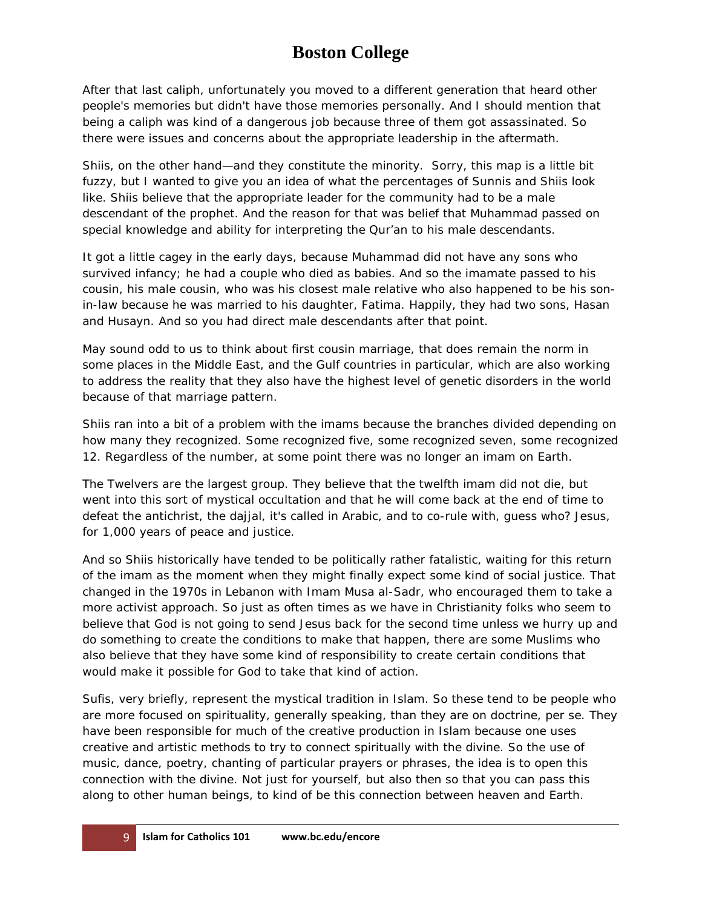After that last caliph, unfortunately you moved to a different generation that heard other people's memories but didn't have those memories personally. And I should mention that being a caliph was kind of a dangerous job because three of them got assassinated. So there were issues and concerns about the appropriate leadership in the aftermath.

Shiis, on the other hand—and they constitute the minority. Sorry, this map is a little bit fuzzy, but I wanted to give you an idea of what the percentages of Sunnis and Shiis look like. Shiis believe that the appropriate leader for the community had to be a male descendant of the prophet. And the reason for that was belief that Muhammad passed on special knowledge and ability for interpreting the Qur'an to his male descendants.

It got a little cagey in the early days, because Muhammad did not have any sons who survived infancy; he had a couple who died as babies. And so the imamate passed to his cousin, his male cousin, who was his closest male relative who also happened to be his sonin-law because he was married to his daughter, Fatima. Happily, they had two sons, Hasan and Husayn. And so you had direct male descendants after that point.

May sound odd to us to think about first cousin marriage, that does remain the norm in some places in the Middle East, and the Gulf countries in particular, which are also working to address the reality that they also have the highest level of genetic disorders in the world because of that marriage pattern.

Shiis ran into a bit of a problem with the imams because the branches divided depending on how many they recognized. Some recognized five, some recognized seven, some recognized 12. Regardless of the number, at some point there was no longer an imam on Earth.

The Twelvers are the largest group. They believe that the twelfth imam did not die, but went into this sort of mystical occultation and that he will come back at the end of time to defeat the antichrist, the *dajjal,* it's called in Arabic, and to co-rule with, guess who? Jesus, for 1,000 years of peace and justice.

And so Shiis historically have tended to be politically rather fatalistic, waiting for this return of the imam as the moment when they might finally expect some kind of social justice. That changed in the 1970s in Lebanon with Imam Musa al-Sadr, who encouraged them to take a more activist approach. So just as often times as we have in Christianity folks who seem to believe that God is not going to send Jesus back for the second time unless we hurry up and do something to create the conditions to make that happen, there are some Muslims who also believe that they have some kind of responsibility to create certain conditions that would make it possible for God to take that kind of action.

Sufis, very briefly, represent the mystical tradition in Islam. So these tend to be people who are more focused on spirituality, generally speaking, than they are on doctrine, per se. They have been responsible for much of the creative production in Islam because one uses creative and artistic methods to try to connect spiritually with the divine. So the use of music, dance, poetry, chanting of particular prayers or phrases, the idea is to open this connection with the divine. Not just for yourself, but also then so that you can pass this along to other human beings, to kind of be this connection between heaven and Earth.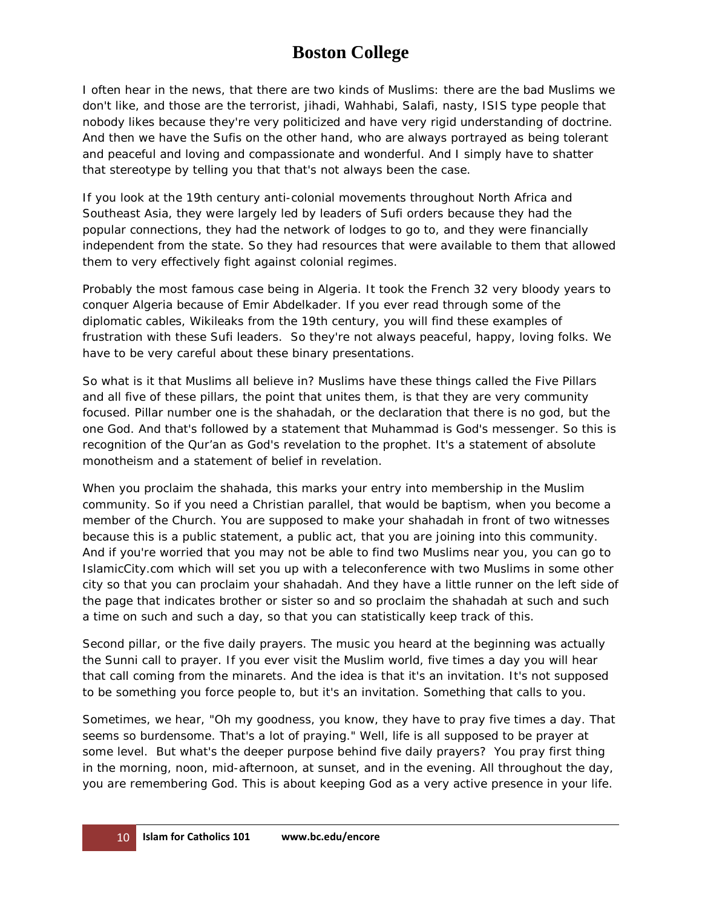I often hear in the news, that there are two kinds of Muslims: there are the bad Muslims we don't like, and those are the terrorist, jihadi, Wahhabi, Salafi, nasty, ISIS type people that nobody likes because they're very politicized and have very rigid understanding of doctrine. And then we have the Sufis on the other hand, who are always portrayed as being tolerant and peaceful and loving and compassionate and wonderful. And I simply have to shatter that stereotype by telling you that that's not always been the case.

If you look at the 19th century anti-colonial movements throughout North Africa and Southeast Asia, they were largely led by leaders of Sufi orders because they had the popular connections, they had the network of lodges to go to, and they were financially independent from the state. So they had resources that were available to them that allowed them to very effectively fight against colonial regimes.

Probably the most famous case being in Algeria. It took the French 32 very bloody years to conquer Algeria because of Emir Abdelkader. If you ever read through some of the diplomatic cables, Wikileaks from the 19th century, you will find these examples of frustration with these Sufi leaders. So they're not always peaceful, happy, loving folks. We have to be very careful about these binary presentations.

So what is it that Muslims all believe in? Muslims have these things called the Five Pillars and all five of these pillars, the point that unites them, is that they are very community focused. Pillar number one is the *shahadah*, or the declaration that there is no god, but the one God. And that's followed by a statement that Muhammad is God's messenger. So this is recognition of the Qur'an as God's revelation to the prophet. It's a statement of absolute monotheism and a statement of belief in revelation.

When you proclaim the shahada, this marks your entry into membership in the Muslim community. So if you need a Christian parallel, that would be baptism, when you become a member of the Church. You are supposed to make your shahadah in front of two witnesses because this is a public statement, a public act, that you are joining into this community. And if you're worried that you may not be able to find two Muslims near you, you can go to IslamicCity.com which will set you up with a teleconference with two Muslims in some other city so that you can proclaim your shahadah. And they have a little runner on the left side of the page that indicates brother or sister so and so proclaim the shahadah at such and such a time on such and such a day, so that you can statistically keep track of this.

Second pillar, or the five daily prayers. The music you heard at the beginning was actually the Sunni call to prayer. If you ever visit the Muslim world, five times a day you will hear that call coming from the minarets. And the idea is that it's an invitation. It's not supposed to be something you force people to, but it's an invitation. Something that calls to you.

Sometimes, we hear, "Oh my goodness, you know, they have to pray five times a day. That seems so burdensome. That's a lot of praying." Well, life is all supposed to be prayer at some level. But what's the deeper purpose behind five daily prayers? You pray first thing in the morning, noon, mid-afternoon, at sunset, and in the evening. All throughout the day, you are remembering God. This is about keeping God as a very active presence in your life.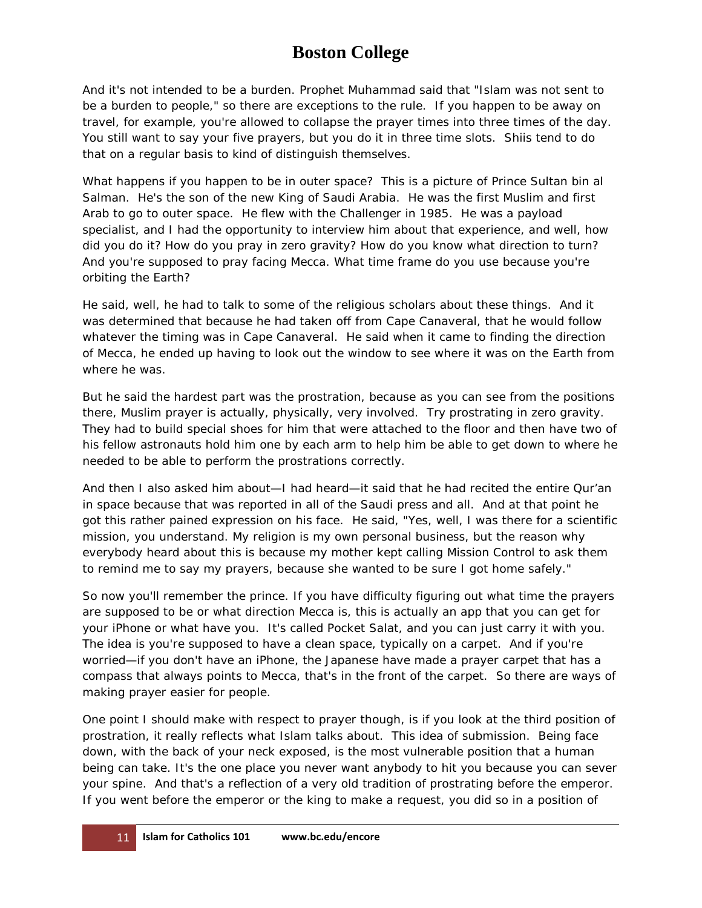And it's not intended to be a burden. Prophet Muhammad said that "Islam was not sent to be a burden to people," so there are exceptions to the rule. If you happen to be away on travel, for example, you're allowed to collapse the prayer times into three times of the day. You still want to say your five prayers, but you do it in three time slots. Shiis tend to do that on a regular basis to kind of distinguish themselves.

What happens if you happen to be in outer space? This is a picture of Prince Sultan bin al Salman. He's the son of the new King of Saudi Arabia. He was the first Muslim and first Arab to go to outer space. He flew with the Challenger in 1985. He was a payload specialist, and I had the opportunity to interview him about that experience, and well, how did you do it? How do you pray in zero gravity? How do you know what direction to turn? And you're supposed to pray facing Mecca. What time frame do you use because you're orbiting the Earth?

He said, well, he had to talk to some of the religious scholars about these things. And it was determined that because he had taken off from Cape Canaveral, that he would follow whatever the timing was in Cape Canaveral. He said when it came to finding the direction of Mecca, he ended up having to look out the window to see where it was on the Earth from where he was.

But he said the hardest part was the prostration, because as you can see from the positions there, Muslim prayer is actually, physically, very involved. Try prostrating in zero gravity. They had to build special shoes for him that were attached to the floor and then have two of his fellow astronauts hold him one by each arm to help him be able to get down to where he needed to be able to perform the prostrations correctly.

And then I also asked him about—I had heard—it said that he had recited the entire Qur'an in space because that was reported in all of the Saudi press and all. And at that point he got this rather pained expression on his face. He said, "Yes, well, I was there for a scientific mission, you understand. My religion is my own personal business, but the reason why everybody heard about this is because my mother kept calling Mission Control to ask them to remind me to say my prayers, because she wanted to be sure I got home safely."

So now you'll remember the prince. If you have difficulty figuring out what time the prayers are supposed to be or what direction Mecca is, this is actually an app that you can get for your iPhone or what have you. It's called Pocket Salat, and you can just carry it with you. The idea is you're supposed to have a clean space, typically on a carpet. And if you're worried—if you don't have an iPhone, the Japanese have made a prayer carpet that has a compass that always points to Mecca, that's in the front of the carpet. So there are ways of making prayer easier for people.

One point I should make with respect to prayer though, is if you look at the third position of prostration, it really reflects what Islam talks about. This idea of submission. Being face down, with the back of your neck exposed, is the most vulnerable position that a human being can take. It's the one place you never want anybody to hit you because you can sever your spine. And that's a reflection of a very old tradition of prostrating before the emperor. If you went before the emperor or the king to make a request, you did so in a position of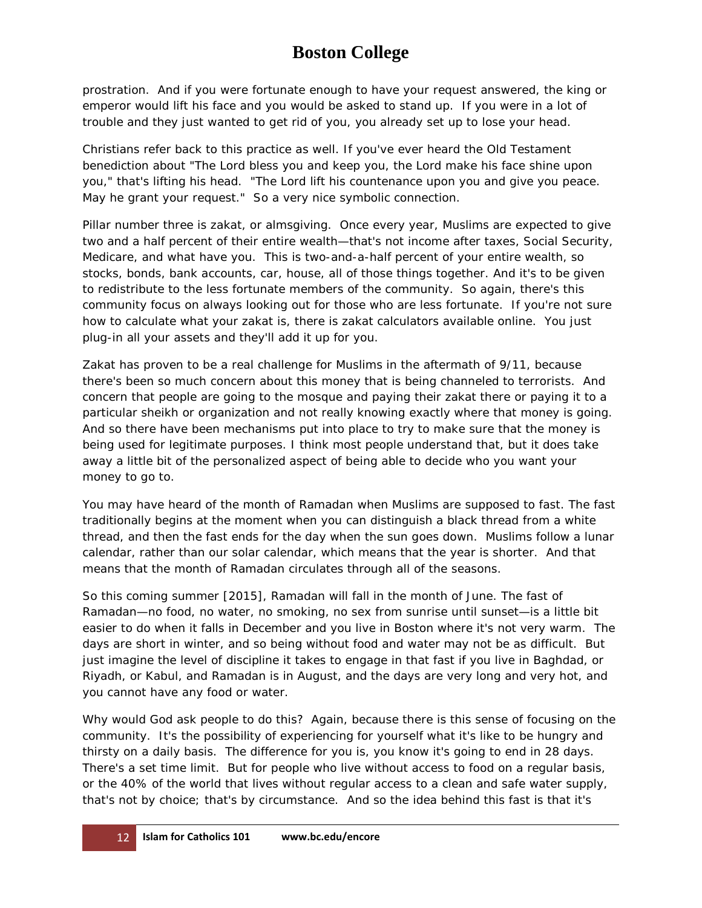prostration. And if you were fortunate enough to have your request answered, the king or emperor would lift his face and you would be asked to stand up. If you were in a lot of trouble and they just wanted to get rid of you, you already set up to lose your head.

Christians refer back to this practice as well. If you've ever heard the Old Testament benediction about "The Lord bless you and keep you, the Lord make his face shine upon you," that's lifting his head. "The Lord lift his countenance upon you and give you peace. May he grant your request." So a very nice symbolic connection.

Pillar number three is *zakat*, or almsgiving. Once every year, Muslims are expected to give two and a half percent of their entire wealth—that's not income after taxes, Social Security, Medicare, and what have you. This is two-and-a-half percent of your entire wealth, so stocks, bonds, bank accounts, car, house, all of those things together. And it's to be given to redistribute to the less fortunate members of the community. So again, there's this community focus on always looking out for those who are less fortunate. If you're not sure how to calculate what your zakat is, there is zakat calculators available online. You just plug-in all your assets and they'll add it up for you.

Zakat has proven to be a real challenge for Muslims in the aftermath of 9/11, because there's been so much concern about this money that is being channeled to terrorists. And concern that people are going to the mosque and paying their zakat there or paying it to a particular sheikh or organization and not really knowing exactly where that money is going. And so there have been mechanisms put into place to try to make sure that the money is being used for legitimate purposes. I think most people understand that, but it does take away a little bit of the personalized aspect of being able to decide who you want your money to go to.

You may have heard of the month of Ramadan when Muslims are supposed to fast. The fast traditionally begins at the moment when you can distinguish a black thread from a white thread, and then the fast ends for the day when the sun goes down. Muslims follow a lunar calendar, rather than our solar calendar, which means that the year is shorter. And that means that the month of Ramadan circulates through all of the seasons.

So this coming summer [2015], Ramadan will fall in the month of June. The fast of Ramadan—no food, no water, no smoking, no sex from sunrise until sunset—is a little bit easier to do when it falls in December and you live in Boston where it's not very warm. The days are short in winter, and so being without food and water may not be as difficult. But just imagine the level of discipline it takes to engage in that fast if you live in Baghdad, or Riyadh, or Kabul, and Ramadan is in August, and the days are very long and very hot, and you cannot have any food or water.

Why would God ask people to do this? Again, because there is this sense of focusing on the community. It's the possibility of experiencing for yourself what it's like to be hungry and thirsty on a daily basis. The difference for you is, you know it's going to end in 28 days. There's a set time limit. But for people who live without access to food on a regular basis, or the 40% of the world that lives without regular access to a clean and safe water supply, that's not by choice; that's by circumstance. And so the idea behind this fast is that it's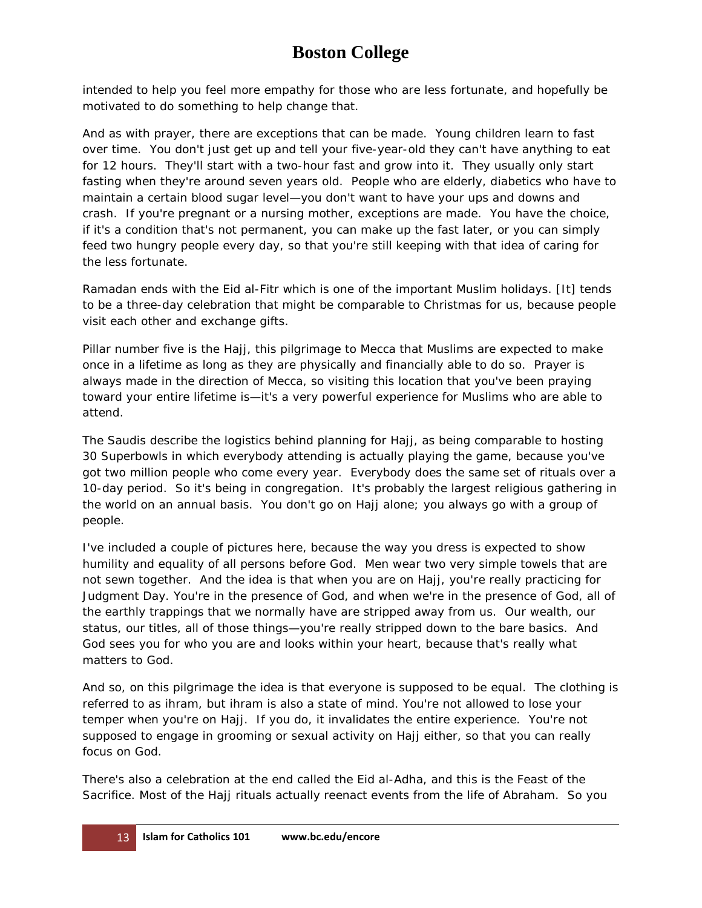intended to help you feel more empathy for those who are less fortunate, and hopefully be motivated to do something to help change that.

And as with prayer, there are exceptions that can be made. Young children learn to fast over time. You don't just get up and tell your five-year-old they can't have anything to eat for 12 hours. They'll start with a two-hour fast and grow into it. They usually only start fasting when they're around seven years old. People who are elderly, diabetics who have to maintain a certain blood sugar level—you don't want to have your ups and downs and crash. If you're pregnant or a nursing mother, exceptions are made. You have the choice, if it's a condition that's not permanent, you can make up the fast later, or you can simply feed two hungry people every day, so that you're still keeping with that idea of caring for the less fortunate.

Ramadan ends with the Eid al-Fitr which is one of the important Muslim holidays. [It] tends to be a three-day celebration that might be comparable to Christmas for us, because people visit each other and exchange gifts.

Pillar number five is the Hajj, this pilgrimage to Mecca that Muslims are expected to make once in a lifetime as long as they are physically and financially able to do so. Prayer is always made in the direction of Mecca, so visiting this location that you've been praying toward your entire lifetime is—it's a very powerful experience for Muslims who are able to attend.

The Saudis describe the logistics behind planning for Hajj, as being comparable to hosting 30 Superbowls in which everybody attending is actually playing the game, because you've got two million people who come every year. Everybody does the same set of rituals over a 10-day period. So it's being in congregation. It's probably the largest religious gathering in the world on an annual basis. You don't go on Hajj alone; you always go with a group of people.

I've included a couple of pictures here, because the way you dress is expected to show humility and equality of all persons before God. Men wear two very simple towels that are not sewn together. And the idea is that when you are on Hajj, you're really practicing for Judgment Day. You're in the presence of God, and when we're in the presence of God, all of the earthly trappings that we normally have are stripped away from us. Our wealth, our status, our titles, all of those things—you're really stripped down to the bare basics. And God sees you for who you are and looks within your heart, because that's really what matters to God.

And so, on this pilgrimage the idea is that everyone is supposed to be equal. The clothing is referred to as *ihram*, but ihram is also a state of mind. You're not allowed to lose your temper when you're on Hajj. If you do, it invalidates the entire experience. You're not supposed to engage in grooming or sexual activity on Hajj either, so that you can really focus on God.

There's also a celebration at the end called the Eid al-Adha, and this is the Feast of the Sacrifice. Most of the Hajj rituals actually reenact events from the life of Abraham. So you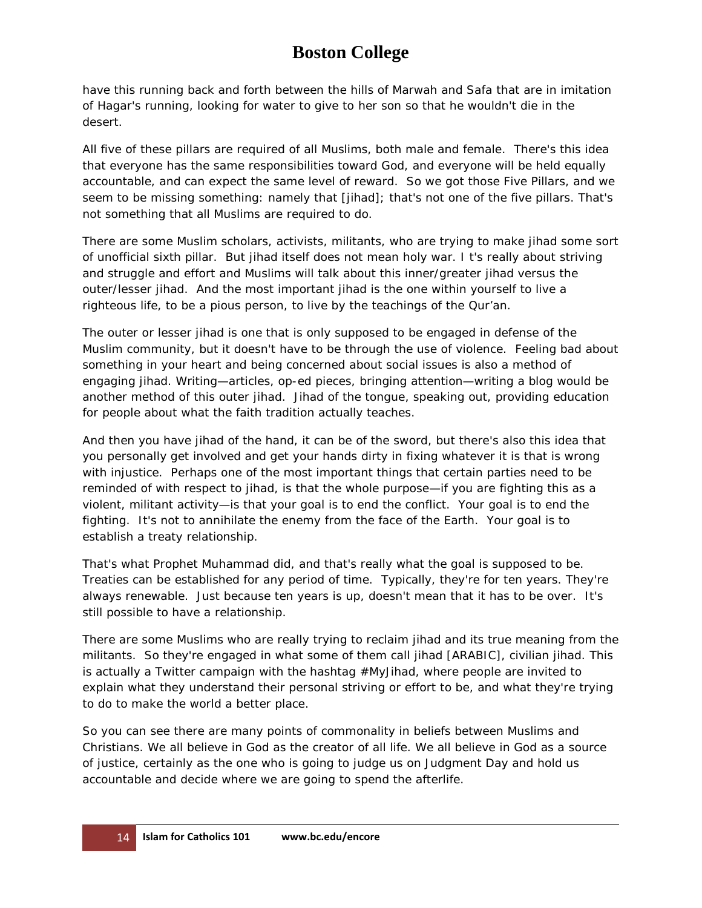have this running back and forth between the hills of Marwah and Safa that are in imitation of Hagar's running, looking for water to give to her son so that he wouldn't die in the desert.

All five of these pillars are required of all Muslims, both male and female. There's this idea that everyone has the same responsibilities toward God, and everyone will be held equally accountable, and can expect the same level of reward. So we got those Five Pillars, and we seem to be missing something: namely that [*jihad*]; that's not one of the five pillars. That's not something that all Muslims are required to do.

There are some Muslim scholars, activists, militants, who are trying to make jihad some sort of unofficial sixth pillar. But jihad itself does not mean holy war. I t's really about striving and struggle and effort and Muslims will talk about this inner/greater jihad versus the outer/lesser jihad. And the most important jihad is the one within yourself to live a righteous life, to be a pious person, to live by the teachings of the Qur'an.

The outer or lesser jihad is one that is only supposed to be engaged in defense of the Muslim community, but it doesn't have to be through the use of violence. Feeling bad about something in your heart and being concerned about social issues is also a method of engaging jihad. Writing—articles, op-ed pieces, bringing attention—writing a blog would be another method of this outer jihad. Jihad of the tongue, speaking out, providing education for people about what the faith tradition actually teaches.

And then you have jihad of the hand, it can be of the sword, but there's also this idea that you personally get involved and get your hands dirty in fixing whatever it is that is wrong with injustice. Perhaps one of the most important things that certain parties need to be reminded of with respect to jihad, is that the whole purpose—if you are fighting this as a violent, militant activity—is that your goal is to end the conflict. Your goal is to end the fighting. It's not to annihilate the enemy from the face of the Earth. Your goal is to establish a treaty relationship.

That's what Prophet Muhammad did, and that's really what the goal is supposed to be. Treaties can be established for any period of time. Typically, they're for ten years. They're always renewable. Just because ten years is up, doesn't mean that it has to be over. It's still possible to have a relationship.

There are some Muslims who are really trying to reclaim jihad and its true meaning from the militants. So they're engaged in what some of them call jihad [ARABIC], civilian jihad. This is actually a Twitter campaign with the hashtag #MyJihad, where people are invited to explain what they understand their personal striving or effort to be, and what they're trying to do to make the world a better place.

So you can see there are many points of commonality in beliefs between Muslims and Christians. We all believe in God as the creator of all life. We all believe in God as a source of justice, certainly as the one who is going to judge us on Judgment Day and hold us accountable and decide where we are going to spend the afterlife.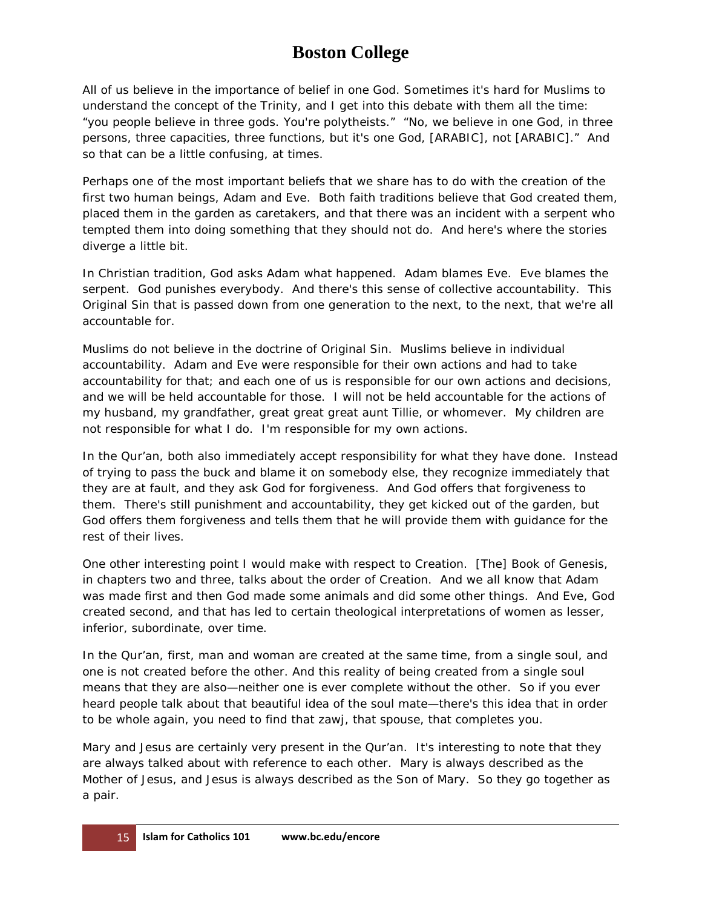All of us believe in the importance of belief in one God. Sometimes it's hard for Muslims to understand the concept of the Trinity, and I get into this debate with them all the time: "you people believe in three gods. You're polytheists." "No, we believe in one God, in three persons, three capacities, three functions, but it's one God, [ARABIC], not [ARABIC]." And so that can be a little confusing, at times.

Perhaps one of the most important beliefs that we share has to do with the creation of the first two human beings, Adam and Eve. Both faith traditions believe that God created them, placed them in the garden as caretakers, and that there was an incident with a serpent who tempted them into doing something that they should not do. And here's where the stories diverge a little bit.

In Christian tradition, God asks Adam what happened. Adam blames Eve. Eve blames the serpent. God punishes everybody. And there's this sense of collective accountability. This Original Sin that is passed down from one generation to the next, to the next, that we're all accountable for.

Muslims do not believe in the doctrine of Original Sin. Muslims believe in individual accountability. Adam and Eve were responsible for their own actions and had to take accountability for that; and each one of us is responsible for our own actions and decisions, and we will be held accountable for those. I will not be held accountable for the actions of my husband, my grandfather, great great great aunt Tillie, or whomever. My children are not responsible for what I do. I'm responsible for my own actions.

In the Qur'an, both also immediately accept responsibility for what they have done. Instead of trying to pass the buck and blame it on somebody else, they recognize immediately that they are at fault, and they ask God for forgiveness. And God offers that forgiveness to them. There's still punishment and accountability, they get kicked out of the garden, but God offers them forgiveness and tells them that he will provide them with guidance for the rest of their lives.

One other interesting point I would make with respect to Creation. [The] Book of Genesis, in chapters two and three, talks about the order of Creation. And we all know that Adam was made first and then God made some animals and did some other things. And Eve, God created second, and that has led to certain theological interpretations of women as lesser, inferior, subordinate, over time.

In the Qur'an, first, man and woman are created at the same time, from a single soul, and one is not created before the other. And this reality of being created from a single soul means that they are also—neither one is ever complete without the other. So if you ever heard people talk about that beautiful idea of the soul mate—there's this idea that in order to be whole again, you need to find that *zawj*, that spouse, that completes you.

Mary and Jesus are certainly very present in the Qur'an. It's interesting to note that they are always talked about with reference to each other. Mary is always described as the Mother of Jesus, and Jesus is always described as the Son of Mary. So they go together as a pair.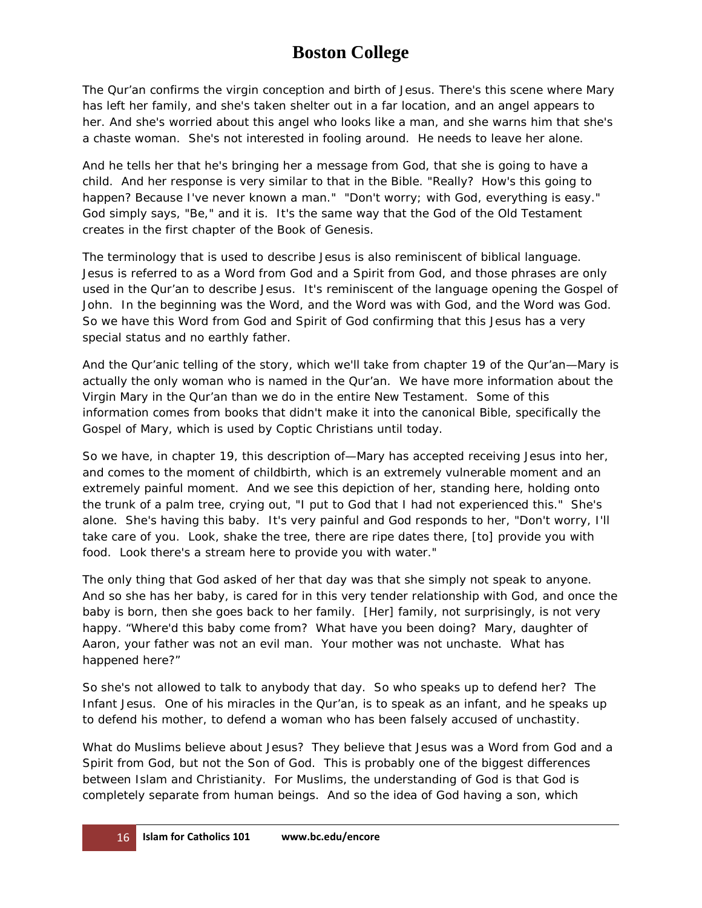The Qur'an confirms the virgin conception and birth of Jesus. There's this scene where Mary has left her family, and she's taken shelter out in a far location, and an angel appears to her. And she's worried about this angel who looks like a man, and she warns him that she's a chaste woman. She's not interested in fooling around. He needs to leave her alone.

And he tells her that he's bringing her a message from God, that she is going to have a child. And her response is very similar to that in the Bible. "Really? How's this going to happen? Because I've never known a man." "Don't worry; with God, everything is easy." God simply says, "Be," and it is. It's the same way that the God of the Old Testament creates in the first chapter of the Book of Genesis.

The terminology that is used to describe Jesus is also reminiscent of biblical language. Jesus is referred to as a Word from God and a Spirit from God, and those phrases are only used in the Qur'an to describe Jesus. It's reminiscent of the language opening the Gospel of John. In the beginning was the Word, and the Word was with God, and the Word was God. So we have this Word from God and Spirit of God confirming that this Jesus has a very special status and no earthly father.

And the Qur'anic telling of the story, which we'll take from chapter 19 of the Qur'an—Mary is actually the only woman who is named in the Qur'an. We have more information about the Virgin Mary in the Qur'an than we do in the entire New Testament. Some of this information comes from books that didn't make it into the canonical Bible, specifically the Gospel of Mary, which is used by Coptic Christians until today.

So we have, in chapter 19, this description of—Mary has accepted receiving Jesus into her, and comes to the moment of childbirth, which is an extremely vulnerable moment and an extremely painful moment. And we see this depiction of her, standing here, holding onto the trunk of a palm tree, crying out, "I put to God that I had not experienced this." She's alone. She's having this baby. It's very painful and God responds to her, "Don't worry, I'll take care of you. Look, shake the tree, there are ripe dates there, [to] provide you with food. Look there's a stream here to provide you with water."

The only thing that God asked of her that day was that she simply not speak to anyone. And so she has her baby, is cared for in this very tender relationship with God, and once the baby is born, then she goes back to her family. [Her] family, not surprisingly, is not very happy. "Where'd this baby come from? What have you been doing? Mary, daughter of Aaron, your father was not an evil man. Your mother was not unchaste. What has happened here?"

So she's not allowed to talk to anybody that day. So who speaks up to defend her? The Infant Jesus. One of his miracles in the Qur'an, is to speak as an infant, and he speaks up to defend his mother, to defend a woman who has been falsely accused of unchastity.

What do Muslims believe about Jesus? They believe that Jesus was a Word from God and a Spirit from God, but not the Son of God. This is probably one of the biggest differences between Islam and Christianity. For Muslims, the understanding of God is that God is completely separate from human beings. And so the idea of God having a son, which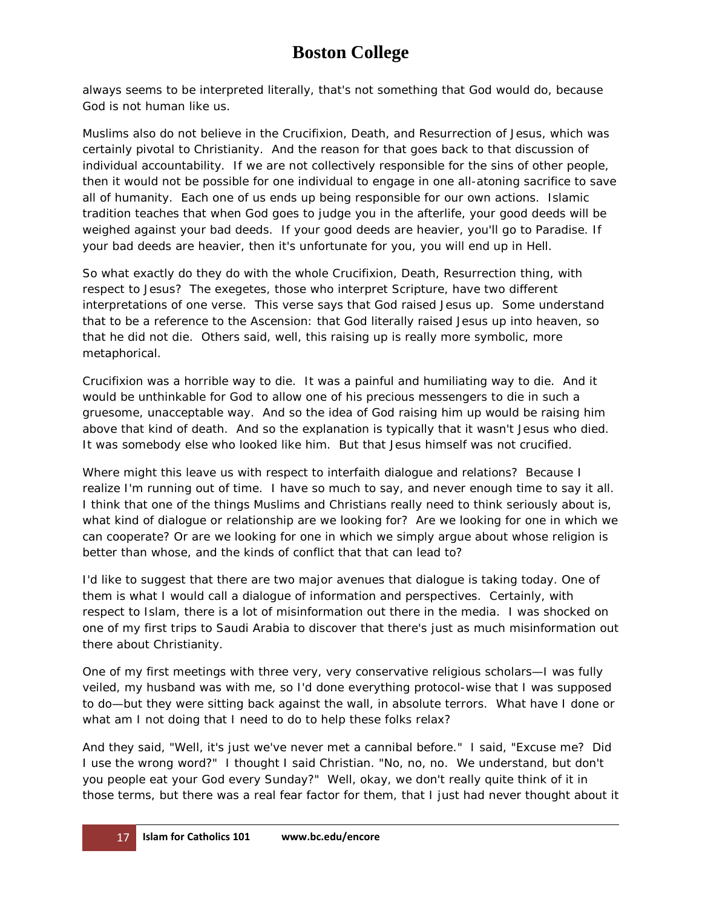always seems to be interpreted literally, that's not something that God would do, because God is not human like us.

Muslims also do not believe in the Crucifixion, Death, and Resurrection of Jesus, which was certainly pivotal to Christianity. And the reason for that goes back to that discussion of individual accountability. If we are not collectively responsible for the sins of other people, then it would not be possible for one individual to engage in one all-atoning sacrifice to save all of humanity. Each one of us ends up being responsible for our own actions. Islamic tradition teaches that when God goes to judge you in the afterlife, your good deeds will be weighed against your bad deeds. If your good deeds are heavier, you'll go to Paradise. If your bad deeds are heavier, then it's unfortunate for you, you will end up in Hell.

So what exactly do they do with the whole Crucifixion, Death, Resurrection thing, with respect to Jesus? The exegetes, those who interpret Scripture, have two different interpretations of one verse. This verse says that God raised Jesus up. Some understand that to be a reference to the Ascension: that God literally raised Jesus up into heaven, so that he did not die. Others said, well, this raising up is really more symbolic, more metaphorical.

Crucifixion was a horrible way to die. It was a painful and humiliating way to die. And it would be unthinkable for God to allow one of his precious messengers to die in such a gruesome, unacceptable way. And so the idea of God raising him up would be raising him above that kind of death. And so the explanation is typically that it wasn't Jesus who died. It was somebody else who looked like him. But that Jesus himself was not crucified.

Where might this leave us with respect to interfaith dialogue and relations? Because I realize I'm running out of time. I have so much to say, and never enough time to say it all. I think that one of the things Muslims and Christians really need to think seriously about is, what kind of dialogue or relationship are we looking for? Are we looking for one in which we can cooperate? Or are we looking for one in which we simply argue about whose religion is better than whose, and the kinds of conflict that that can lead to?

I'd like to suggest that there are two major avenues that dialogue is taking today. One of them is what I would call a dialogue of information and perspectives. Certainly, with respect to Islam, there is a lot of misinformation out there in the media. I was shocked on one of my first trips to Saudi Arabia to discover that there's just as much misinformation out there about Christianity.

One of my first meetings with three very, very conservative religious scholars—I was fully veiled, my husband was with me, so I'd done everything protocol-wise that I was supposed to do—but they were sitting back against the wall, in absolute terrors. What have I done or what am I not doing that I need to do to help these folks relax?

And they said, "Well, it's just we've never met a cannibal before." I said, "Excuse me? Did I use the wrong word?" I thought I said Christian. "No, no, no. We understand, but don't you people eat your God every Sunday?" Well, okay, we don't really quite think of it in those terms, but there was a real fear factor for them, that I just had never thought about it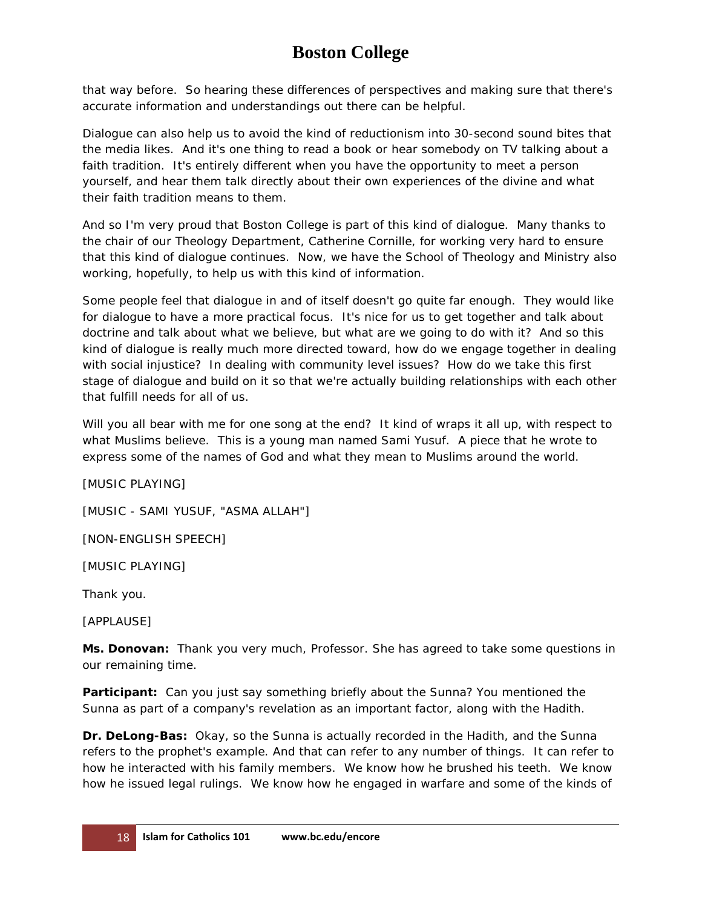that way before. So hearing these differences of perspectives and making sure that there's accurate information and understandings out there can be helpful.

Dialogue can also help us to avoid the kind of reductionism into 30-second sound bites that the media likes. And it's one thing to read a book or hear somebody on TV talking about a faith tradition. It's entirely different when you have the opportunity to meet a person yourself, and hear them talk directly about their own experiences of the divine and what their faith tradition means to them.

And so I'm very proud that Boston College is part of this kind of dialogue. Many thanks to the chair of our Theology Department, Catherine Cornille, for working very hard to ensure that this kind of dialogue continues. Now, we have the School of Theology and Ministry also working, hopefully, to help us with this kind of information.

Some people feel that dialogue in and of itself doesn't go quite far enough. They would like for dialogue to have a more practical focus. It's nice for us to get together and talk about doctrine and talk about what we believe, but what are we going to do with it? And so this kind of dialogue is really much more directed toward, how do we engage together in dealing with social injustice? In dealing with community level issues? How do we take this first stage of dialogue and build on it so that we're actually building relationships with each other that fulfill needs for all of us.

Will you all bear with me for one song at the end? It kind of wraps it all up, with respect to what Muslims believe. This is a young man named Sami Yusuf. A piece that he wrote to express some of the names of God and what they mean to Muslims around the world.

[MUSIC PLAYING]

[MUSIC - SAMI YUSUF, "ASMA ALLAH"]

[NON-ENGLISH SPEECH]

[MUSIC PLAYING]

Thank you.

[APPLAUSE]

**Ms. Donovan:** Thank you very much, Professor. She has agreed to take some questions in our remaining time.

**Participant:** Can you just say something briefly about the Sunna? You mentioned the Sunna as part of a company's revelation as an important factor, along with the Hadith.

**Dr. DeLong-Bas:** Okay, so the Sunna is actually recorded in the Hadith, and the Sunna refers to the prophet's example. And that can refer to any number of things. It can refer to how he interacted with his family members. We know how he brushed his teeth. We know how he issued legal rulings. We know how he engaged in warfare and some of the kinds of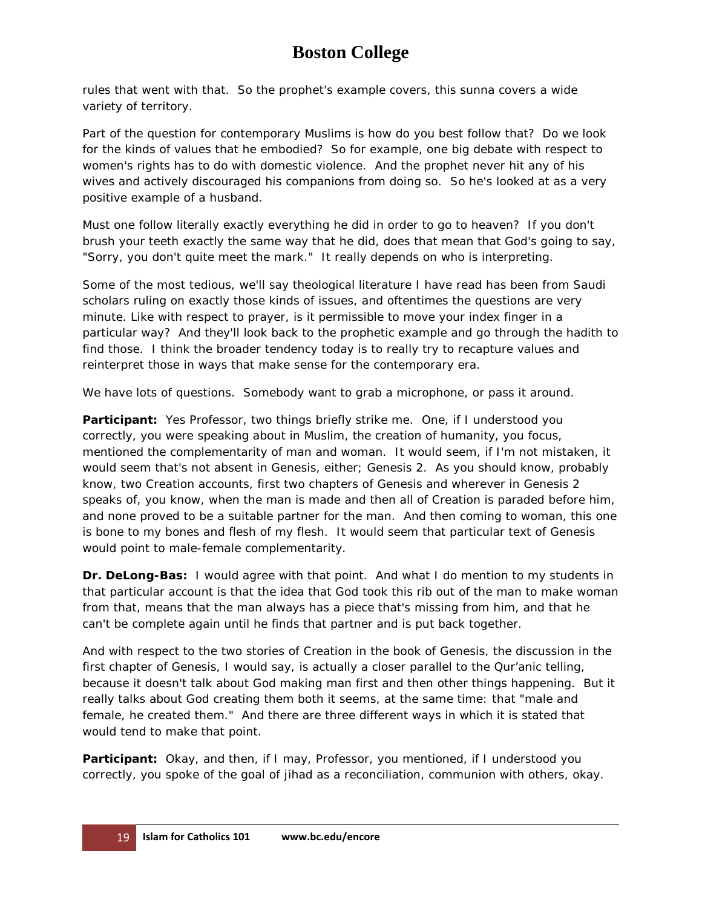rules that went with that. So the prophet's example covers, this sunna covers a wide variety of territory.

Part of the question for contemporary Muslims is how do you best follow that? Do we look for the kinds of values that he embodied? So for example, one big debate with respect to women's rights has to do with domestic violence. And the prophet never hit any of his wives and actively discouraged his companions from doing so. So he's looked at as a very positive example of a husband.

Must one follow literally exactly everything he did in order to go to heaven? If you don't brush your teeth exactly the same way that he did, does that mean that God's going to say, "Sorry, you don't quite meet the mark." It really depends on who is interpreting.

Some of the most tedious, we'll say theological literature I have read has been from Saudi scholars ruling on exactly those kinds of issues, and oftentimes the questions are very minute. Like with respect to prayer, is it permissible to move your index finger in a particular way? And they'll look back to the prophetic example and go through the hadith to find those. I think the broader tendency today is to really try to recapture values and reinterpret those in ways that make sense for the contemporary era.

We have lots of questions. Somebody want to grab a microphone, or pass it around.

**Participant:** Yes Professor, two things briefly strike me. One, if I understood you correctly, you were speaking about in Muslim, the creation of humanity, you focus, mentioned the complementarity of man and woman. It would seem, if I'm not mistaken, it would seem that's not absent in Genesis, either; Genesis 2. As you should know, probably know, two Creation accounts, first two chapters of Genesis and wherever in Genesis 2 speaks of, you know, when the man is made and then all of Creation is paraded before him, and none proved to be a suitable partner for the man. And then coming to woman, this one is bone to my bones and flesh of my flesh. It would seem that particular text of Genesis would point to male-female complementarity.

**Dr. DeLong-Bas:** I would agree with that point. And what I do mention to my students in that particular account is that the idea that God took this rib out of the man to make woman from that, means that the man always has a piece that's missing from him, and that he can't be complete again until he finds that partner and is put back together.

And with respect to the two stories of Creation in the book of Genesis, the discussion in the first chapter of Genesis, I would say, is actually a closer parallel to the Qur'anic telling, because it doesn't talk about God making man first and then other things happening. But it really talks about God creating them both it seems, at the same time: that "male and female, he created them." And there are three different ways in which it is stated that would tend to make that point.

**Participant:** Okay, and then, if I may, Professor, you mentioned, if I understood you correctly, you spoke of the goal of jihad as a reconciliation, communion with others, okay.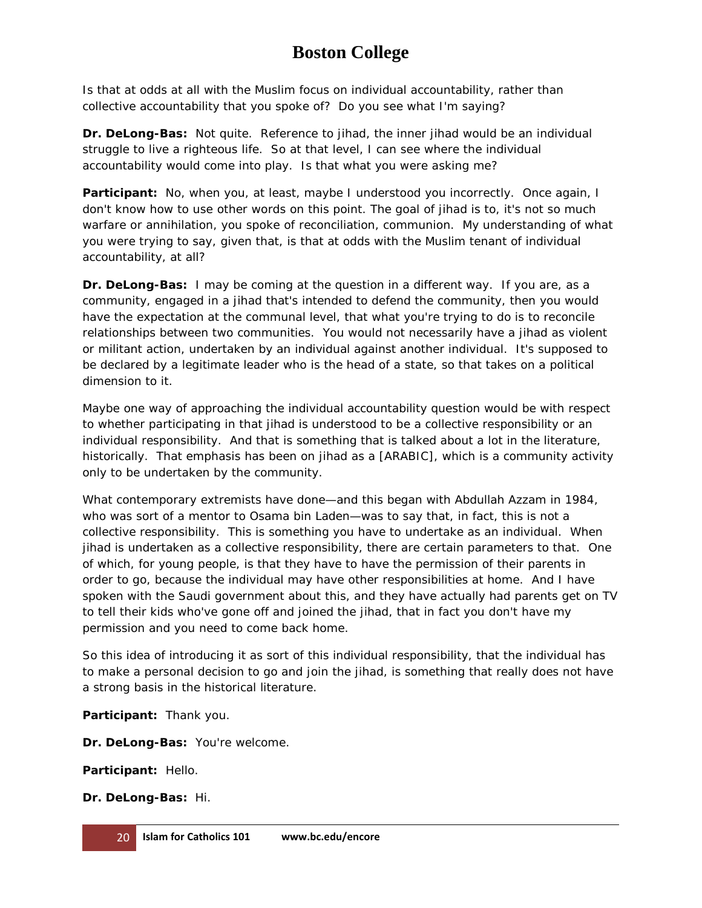Is that at odds at all with the Muslim focus on individual accountability, rather than collective accountability that you spoke of? Do you see what I'm saying?

**Dr. DeLong-Bas:** Not quite. Reference to jihad, the inner jihad would be an individual struggle to live a righteous life. So at that level, I can see where the individual accountability would come into play. Is that what you were asking me?

Participant: No, when you, at least, maybe I understood you incorrectly. Once again, I don't know how to use other words on this point. The goal of jihad is to, it's not so much warfare or annihilation, you spoke of reconciliation, communion. My understanding of what you were trying to say, given that, is that at odds with the Muslim tenant of individual accountability, at all?

**Dr. DeLong-Bas:** I may be coming at the question in a different way. If you are, as a community, engaged in a jihad that's intended to defend the community, then you would have the expectation at the communal level, that what you're trying to do is to reconcile relationships between two communities. You would not necessarily have a jihad as violent or militant action, undertaken by an individual against another individual. It's supposed to be declared by a legitimate leader who is the head of a state, so that takes on a political dimension to it.

Maybe one way of approaching the individual accountability question would be with respect to whether participating in that jihad is understood to be a collective responsibility or an individual responsibility. And that is something that is talked about a lot in the literature, historically. That emphasis has been on jihad as a [ARABIC], which is a community activity only to be undertaken by the community.

What contemporary extremists have done—and this began with Abdullah Azzam in 1984, who was sort of a mentor to Osama bin Laden—was to say that, in fact, this is not a collective responsibility. This is something you have to undertake as an individual. When jihad is undertaken as a collective responsibility, there are certain parameters to that. One of which, for young people, is that they have to have the permission of their parents in order to go, because the individual may have other responsibilities at home. And I have spoken with the Saudi government about this, and they have actually had parents get on TV to tell their kids who've gone off and joined the jihad, that in fact you don't have my permission and you need to come back home.

So this idea of introducing it as sort of this individual responsibility, that the individual has to make a personal decision to go and join the jihad, is something that really does not have a strong basis in the historical literature.

**Participant:** Thank you.

**Dr. DeLong-Bas:** You're welcome.

**Participant:** Hello.

**Dr. DeLong-Bas:** Hi.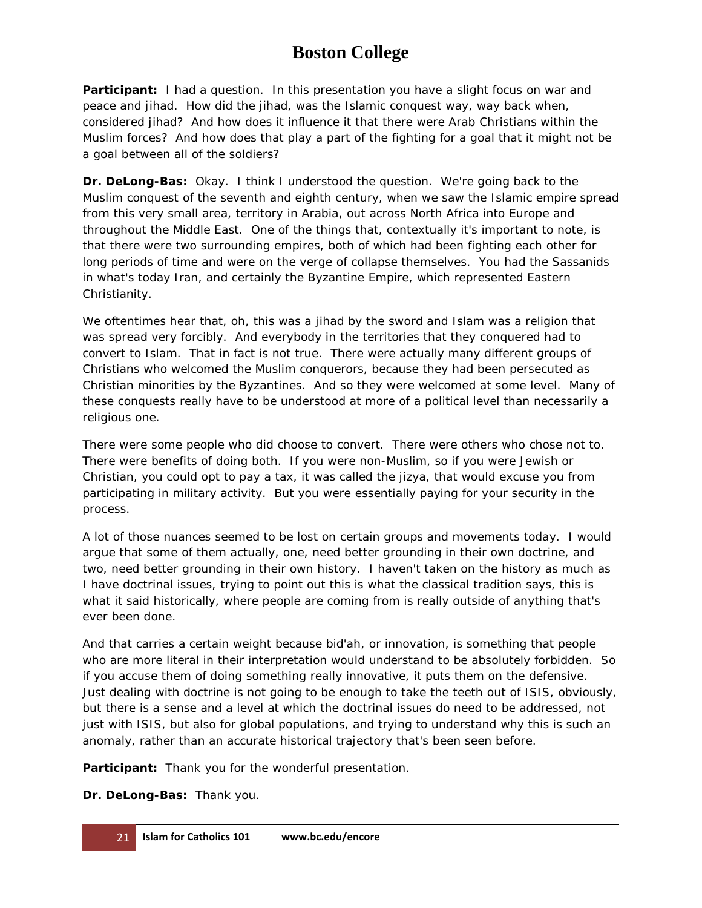**Participant:** I had a question. In this presentation you have a slight focus on war and peace and jihad. How did the jihad, was the Islamic conquest way, way back when, considered jihad? And how does it influence it that there were Arab Christians within the Muslim forces? And how does that play a part of the fighting for a goal that it might not be a goal between all of the soldiers?

**Dr. DeLong-Bas:** Okay. I think I understood the question. We're going back to the Muslim conquest of the seventh and eighth century, when we saw the Islamic empire spread from this very small area, territory in Arabia, out across North Africa into Europe and throughout the Middle East. One of the things that, contextually it's important to note, is that there were two surrounding empires, both of which had been fighting each other for long periods of time and were on the verge of collapse themselves. You had the Sassanids in what's today Iran, and certainly the Byzantine Empire, which represented Eastern Christianity.

We oftentimes hear that, oh, this was a jihad by the sword and Islam was a religion that was spread very forcibly. And everybody in the territories that they conquered had to convert to Islam. That in fact is not true. There were actually many different groups of Christians who welcomed the Muslim conquerors, because they had been persecuted as Christian minorities by the Byzantines. And so they were welcomed at some level. Many of these conquests really have to be understood at more of a political level than necessarily a religious one.

There were some people who did choose to convert. There were others who chose not to. There were benefits of doing both. If you were non-Muslim, so if you were Jewish or Christian, you could opt to pay a tax, it was called the *jizya*, that would excuse you from participating in military activity. But you were essentially paying for your security in the process.

A lot of those nuances seemed to be lost on certain groups and movements today. I would argue that some of them actually, one, need better grounding in their own doctrine, and two, need better grounding in their own history. I haven't taken on the history as much as I have doctrinal issues, trying to point out this is what the classical tradition says, this is what it said historically, where people are coming from is really outside of anything that's ever been done.

And that carries a certain weight because *bid'ah*, or innovation, is something that people who are more literal in their interpretation would understand to be absolutely forbidden. So if you accuse them of doing something really innovative, it puts them on the defensive. Just dealing with doctrine is not going to be enough to take the teeth out of ISIS, obviously, but there is a sense and a level at which the doctrinal issues do need to be addressed, not just with ISIS, but also for global populations, and trying to understand why this is such an anomaly, rather than an accurate historical trajectory that's been seen before.

**Participant:** Thank you for the wonderful presentation.

**Dr. DeLong-Bas:** Thank you.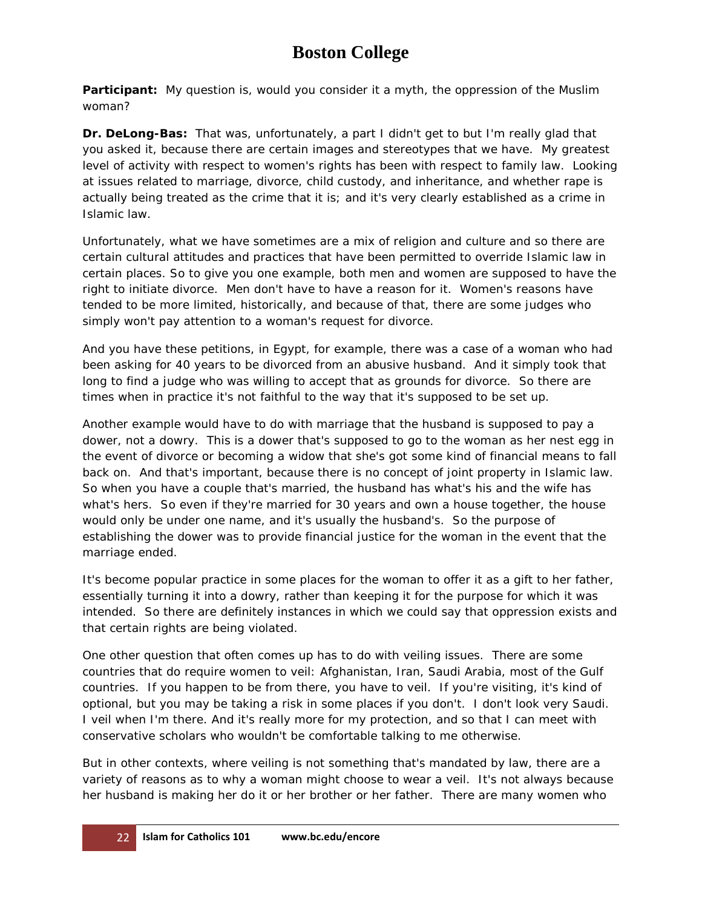**Participant:** My question is, would you consider it a myth, the oppression of the Muslim woman?

**Dr. DeLong-Bas:** That was, unfortunately, a part I didn't get to but I'm really glad that you asked it, because there are certain images and stereotypes that we have. My greatest level of activity with respect to women's rights has been with respect to family law. Looking at issues related to marriage, divorce, child custody, and inheritance, and whether rape is actually being treated as the crime that it is; and it's very clearly established as a crime in Islamic law.

Unfortunately, what we have sometimes are a mix of religion and culture and so there are certain cultural attitudes and practices that have been permitted to override Islamic law in certain places. So to give you one example, both men and women are supposed to have the right to initiate divorce. Men don't have to have a reason for it. Women's reasons have tended to be more limited, historically, and because of that, there are some judges who simply won't pay attention to a woman's request for divorce.

And you have these petitions, in Egypt, for example, there was a case of a woman who had been asking for 40 years to be divorced from an abusive husband. And it simply took that long to find a judge who was willing to accept that as grounds for divorce. So there are times when in practice it's not faithful to the way that it's supposed to be set up.

Another example would have to do with marriage that the husband is supposed to pay a dower, not a dowry. This is a dower that's supposed to go to the woman as her nest egg in the event of divorce or becoming a widow that she's got some kind of financial means to fall back on. And that's important, because there is no concept of joint property in Islamic law. So when you have a couple that's married, the husband has what's his and the wife has what's hers. So even if they're married for 30 years and own a house together, the house would only be under one name, and it's usually the husband's. So the purpose of establishing the dower was to provide financial justice for the woman in the event that the marriage ended.

It's become popular practice in some places for the woman to offer it as a gift to her father, essentially turning it into a dowry, rather than keeping it for the purpose for which it was intended. So there are definitely instances in which we could say that oppression exists and that certain rights are being violated.

One other question that often comes up has to do with veiling issues. There are some countries that do require women to veil: Afghanistan, Iran, Saudi Arabia, most of the Gulf countries. If you happen to be from there, you have to veil. If you're visiting, it's kind of optional, but you may be taking a risk in some places if you don't. I don't look very Saudi. I veil when I'm there. And it's really more for my protection, and so that I can meet with conservative scholars who wouldn't be comfortable talking to me otherwise.

But in other contexts, where veiling is not something that's mandated by law, there are a variety of reasons as to why a woman might choose to wear a veil. It's not always because her husband is making her do it or her brother or her father. There are many women who